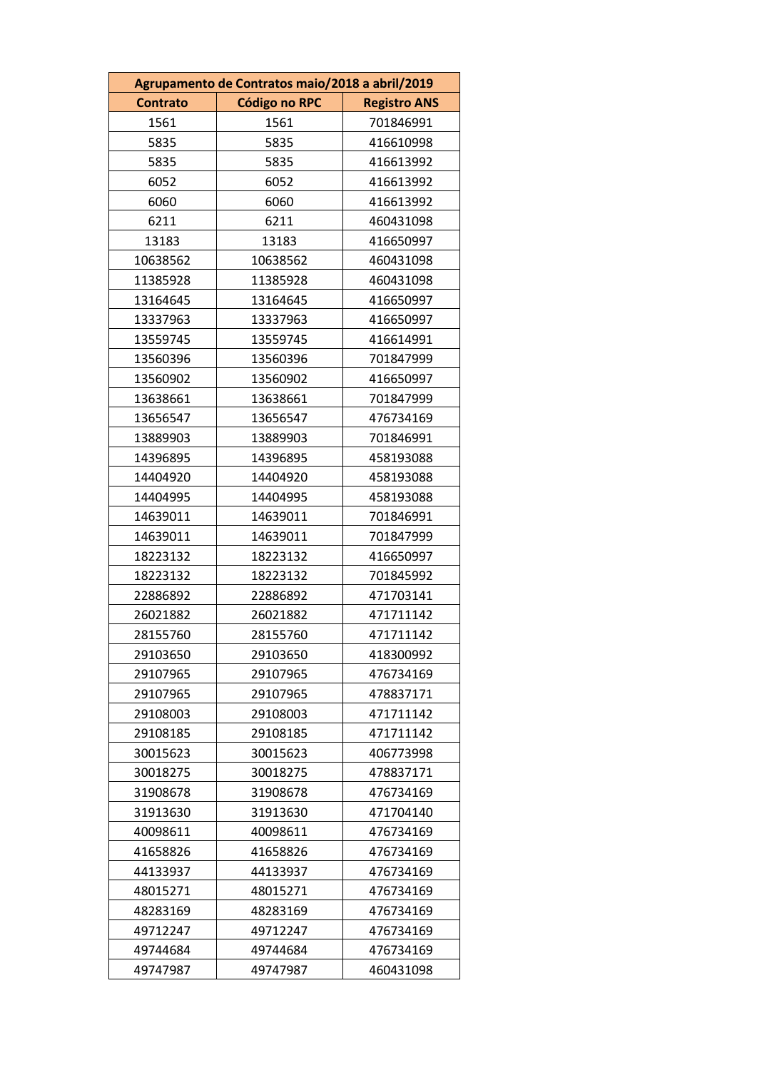| Agrupamento de Contratos maio/2018 a abril/2019 |                      |                     |
|-------------------------------------------------|----------------------|---------------------|
| <b>Contrato</b>                                 | <b>Código no RPC</b> | <b>Registro ANS</b> |
| 1561                                            | 1561                 | 701846991           |
| 5835                                            | 5835                 | 416610998           |
| 5835                                            | 5835                 | 416613992           |
| 6052                                            | 6052                 | 416613992           |
| 6060                                            | 6060                 | 416613992           |
| 6211                                            | 6211                 | 460431098           |
| 13183                                           | 13183                | 416650997           |
| 10638562                                        | 10638562             | 460431098           |
| 11385928                                        | 11385928             | 460431098           |
| 13164645                                        | 13164645             | 416650997           |
| 13337963                                        | 13337963             | 416650997           |
| 13559745                                        | 13559745             | 416614991           |
| 13560396                                        | 13560396             | 701847999           |
| 13560902                                        | 13560902             | 416650997           |
| 13638661                                        | 13638661             | 701847999           |
| 13656547                                        | 13656547             | 476734169           |
| 13889903                                        | 13889903             | 701846991           |
| 14396895                                        | 14396895             | 458193088           |
| 14404920                                        | 14404920             | 458193088           |
| 14404995                                        | 14404995             | 458193088           |
| 14639011                                        | 14639011             | 701846991           |
| 14639011                                        | 14639011             | 701847999           |
| 18223132                                        | 18223132             | 416650997           |
| 18223132                                        | 18223132             | 701845992           |
| 22886892                                        | 22886892             | 471703141           |
| 26021882                                        | 26021882             | 471711142           |
| 28155760                                        | 28155760             | 471711142           |
| 29103650                                        | 29103650             | 418300992           |
| 29107965                                        | 29107965             | 476734169           |
| 29107965                                        | 29107965             | 478837171           |
| 29108003                                        | 29108003             | 471711142           |
| 29108185                                        | 29108185             | 471711142           |
| 30015623                                        | 30015623             | 406773998           |
| 30018275                                        | 30018275             | 478837171           |
| 31908678                                        | 31908678             | 476734169           |
| 31913630                                        | 31913630             | 471704140           |
| 40098611                                        | 40098611             | 476734169           |
| 41658826                                        | 41658826             | 476734169           |
| 44133937                                        | 44133937             | 476734169           |
| 48015271                                        | 48015271             | 476734169           |
| 48283169                                        | 48283169             | 476734169           |
| 49712247                                        | 49712247             | 476734169           |
| 49744684                                        | 49744684             | 476734169           |
| 49747987                                        | 49747987             | 460431098           |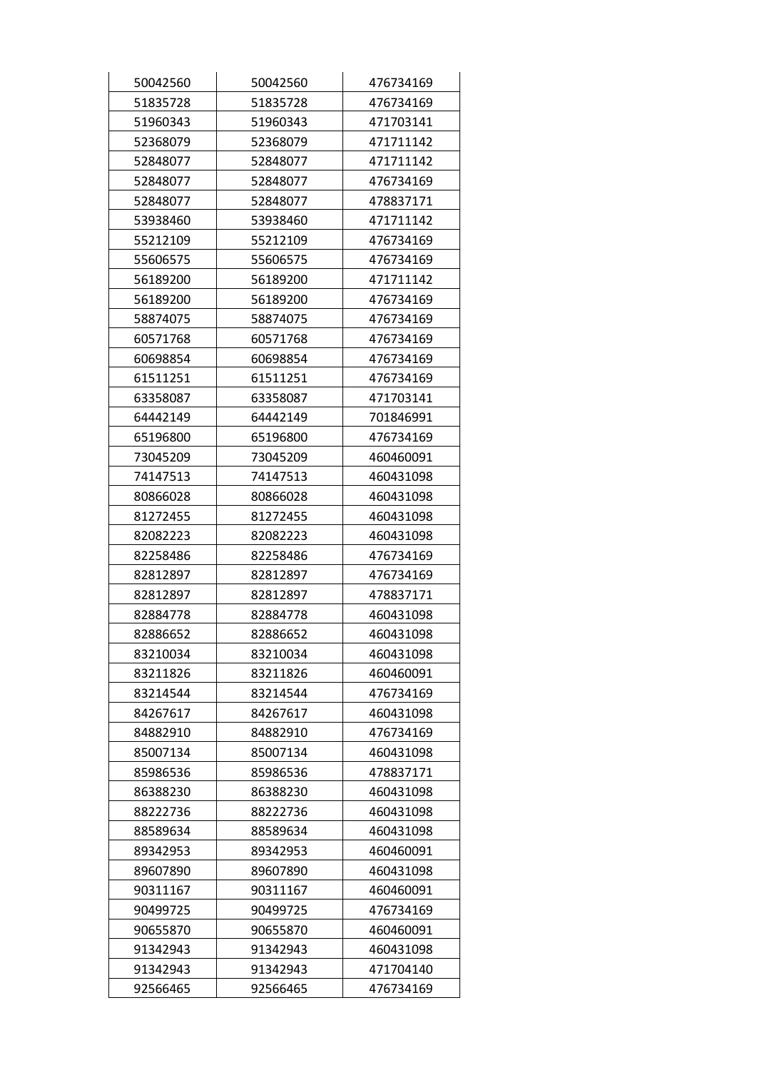| 50042560 | 50042560 | 476734169 |
|----------|----------|-----------|
| 51835728 | 51835728 | 476734169 |
| 51960343 | 51960343 | 471703141 |
| 52368079 | 52368079 | 471711142 |
| 52848077 | 52848077 | 471711142 |
| 52848077 | 52848077 | 476734169 |
| 52848077 | 52848077 | 478837171 |
| 53938460 | 53938460 | 471711142 |
| 55212109 | 55212109 | 476734169 |
| 55606575 | 55606575 | 476734169 |
| 56189200 | 56189200 | 471711142 |
| 56189200 | 56189200 | 476734169 |
| 58874075 | 58874075 | 476734169 |
| 60571768 | 60571768 | 476734169 |
| 60698854 | 60698854 | 476734169 |
| 61511251 | 61511251 | 476734169 |
| 63358087 | 63358087 | 471703141 |
| 64442149 | 64442149 | 701846991 |
| 65196800 | 65196800 | 476734169 |
| 73045209 | 73045209 | 460460091 |
| 74147513 | 74147513 | 460431098 |
| 80866028 | 80866028 | 460431098 |
| 81272455 | 81272455 | 460431098 |
| 82082223 | 82082223 | 460431098 |
| 82258486 | 82258486 | 476734169 |
| 82812897 | 82812897 | 476734169 |
| 82812897 | 82812897 | 478837171 |
| 82884778 | 82884778 | 460431098 |
| 82886652 | 82886652 | 460431098 |
| 83210034 | 83210034 | 460431098 |
| 83211826 | 83211826 | 460460091 |
| 83214544 | 83214544 | 476734169 |
| 84267617 | 84267617 | 460431098 |
| 84882910 | 84882910 | 476734169 |
| 85007134 | 85007134 | 460431098 |
| 85986536 | 85986536 | 478837171 |
| 86388230 | 86388230 | 460431098 |
| 88222736 | 88222736 | 460431098 |
| 88589634 | 88589634 | 460431098 |
| 89342953 | 89342953 | 460460091 |
| 89607890 | 89607890 | 460431098 |
| 90311167 | 90311167 | 460460091 |
| 90499725 | 90499725 | 476734169 |
| 90655870 | 90655870 | 460460091 |
| 91342943 | 91342943 | 460431098 |
| 91342943 | 91342943 | 471704140 |
| 92566465 | 92566465 | 476734169 |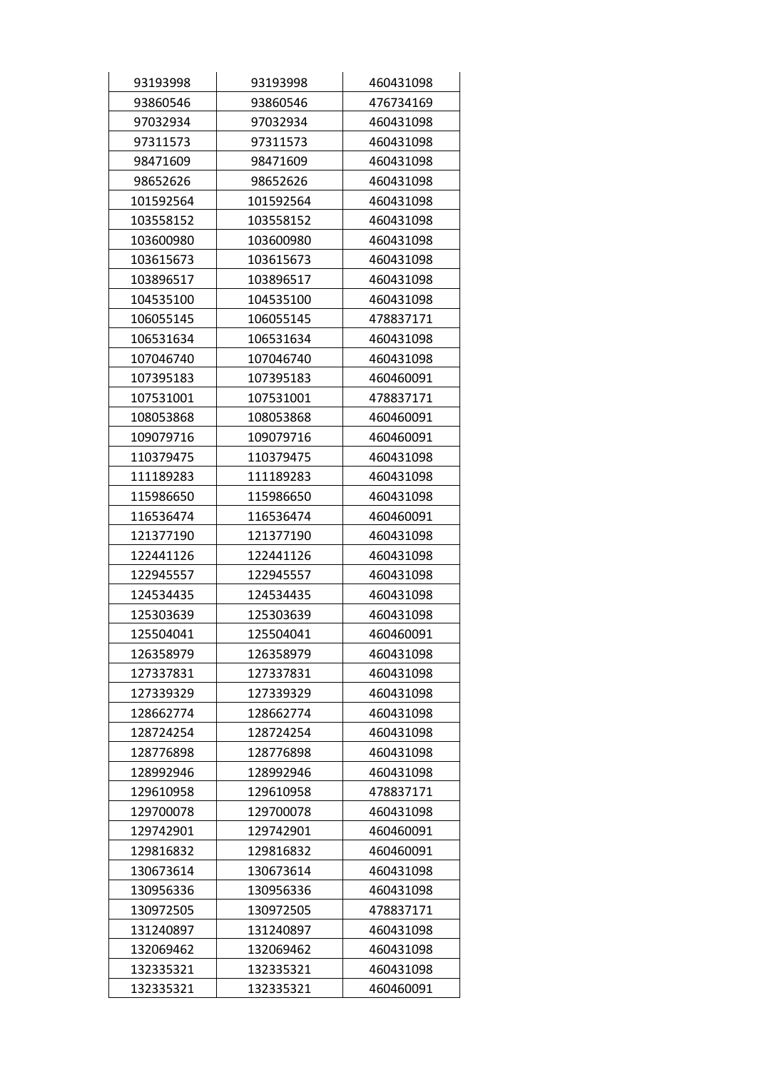| 93193998  | 93193998  | 460431098 |
|-----------|-----------|-----------|
| 93860546  | 93860546  | 476734169 |
| 97032934  | 97032934  | 460431098 |
| 97311573  | 97311573  | 460431098 |
| 98471609  | 98471609  | 460431098 |
| 98652626  | 98652626  | 460431098 |
| 101592564 | 101592564 | 460431098 |
| 103558152 | 103558152 | 460431098 |
| 103600980 | 103600980 | 460431098 |
| 103615673 | 103615673 | 460431098 |
| 103896517 | 103896517 | 460431098 |
| 104535100 | 104535100 | 460431098 |
| 106055145 | 106055145 | 478837171 |
| 106531634 | 106531634 | 460431098 |
| 107046740 | 107046740 | 460431098 |
| 107395183 | 107395183 | 460460091 |
| 107531001 | 107531001 | 478837171 |
| 108053868 | 108053868 | 460460091 |
| 109079716 | 109079716 | 460460091 |
| 110379475 | 110379475 | 460431098 |
| 111189283 | 111189283 | 460431098 |
| 115986650 | 115986650 | 460431098 |
| 116536474 | 116536474 | 460460091 |
| 121377190 | 121377190 | 460431098 |
| 122441126 | 122441126 | 460431098 |
| 122945557 | 122945557 | 460431098 |
| 124534435 | 124534435 | 460431098 |
| 125303639 | 125303639 | 460431098 |
| 125504041 | 125504041 | 460460091 |
| 126358979 | 126358979 | 460431098 |
| 127337831 | 127337831 | 460431098 |
| 127339329 | 127339329 | 460431098 |
| 128662774 | 128662774 | 460431098 |
| 128724254 | 128724254 | 460431098 |
| 128776898 | 128776898 | 460431098 |
| 128992946 | 128992946 | 460431098 |
| 129610958 | 129610958 | 478837171 |
| 129700078 | 129700078 | 460431098 |
| 129742901 | 129742901 | 460460091 |
| 129816832 | 129816832 | 460460091 |
| 130673614 | 130673614 | 460431098 |
| 130956336 | 130956336 | 460431098 |
| 130972505 | 130972505 | 478837171 |
| 131240897 | 131240897 | 460431098 |
| 132069462 | 132069462 | 460431098 |
| 132335321 | 132335321 | 460431098 |
| 132335321 | 132335321 | 460460091 |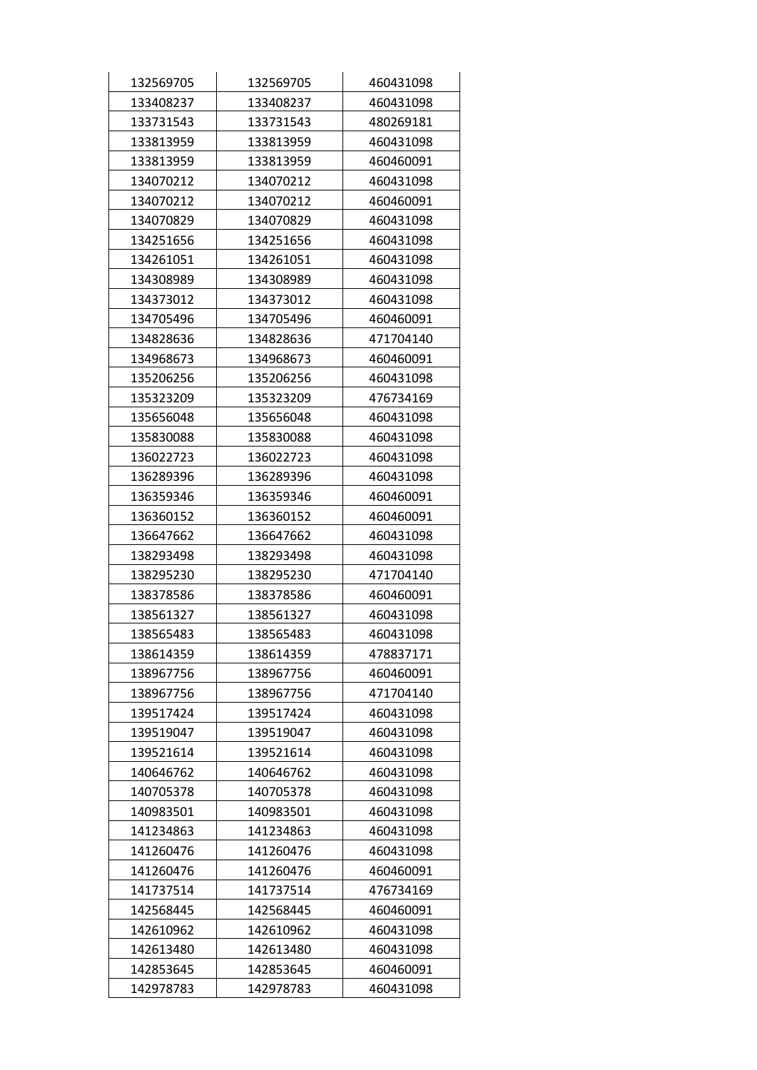| 132569705 | 132569705 | 460431098 |
|-----------|-----------|-----------|
| 133408237 | 133408237 | 460431098 |
| 133731543 | 133731543 | 480269181 |
| 133813959 | 133813959 | 460431098 |
| 133813959 | 133813959 | 460460091 |
| 134070212 | 134070212 | 460431098 |
| 134070212 | 134070212 | 460460091 |
| 134070829 | 134070829 | 460431098 |
| 134251656 | 134251656 | 460431098 |
| 134261051 | 134261051 | 460431098 |
| 134308989 | 134308989 | 460431098 |
| 134373012 | 134373012 | 460431098 |
| 134705496 | 134705496 | 460460091 |
| 134828636 | 134828636 | 471704140 |
| 134968673 | 134968673 | 460460091 |
| 135206256 | 135206256 | 460431098 |
| 135323209 | 135323209 | 476734169 |
| 135656048 | 135656048 | 460431098 |
| 135830088 | 135830088 | 460431098 |
| 136022723 | 136022723 | 460431098 |
| 136289396 | 136289396 | 460431098 |
| 136359346 | 136359346 | 460460091 |
| 136360152 | 136360152 | 460460091 |
| 136647662 | 136647662 | 460431098 |
| 138293498 | 138293498 | 460431098 |
| 138295230 | 138295230 | 471704140 |
| 138378586 | 138378586 | 460460091 |
| 138561327 | 138561327 | 460431098 |
| 138565483 | 138565483 | 460431098 |
| 138614359 | 138614359 | 478837171 |
| 138967756 | 138967756 | 460460091 |
| 138967756 | 138967756 | 471704140 |
| 139517424 | 139517424 | 460431098 |
| 139519047 | 139519047 | 460431098 |
| 139521614 | 139521614 | 460431098 |
| 140646762 | 140646762 | 460431098 |
| 140705378 | 140705378 | 460431098 |
| 140983501 | 140983501 | 460431098 |
| 141234863 | 141234863 | 460431098 |
| 141260476 | 141260476 | 460431098 |
| 141260476 | 141260476 | 460460091 |
| 141737514 | 141737514 | 476734169 |
| 142568445 | 142568445 | 460460091 |
| 142610962 | 142610962 | 460431098 |
| 142613480 | 142613480 | 460431098 |
| 142853645 | 142853645 | 460460091 |
| 142978783 | 142978783 | 460431098 |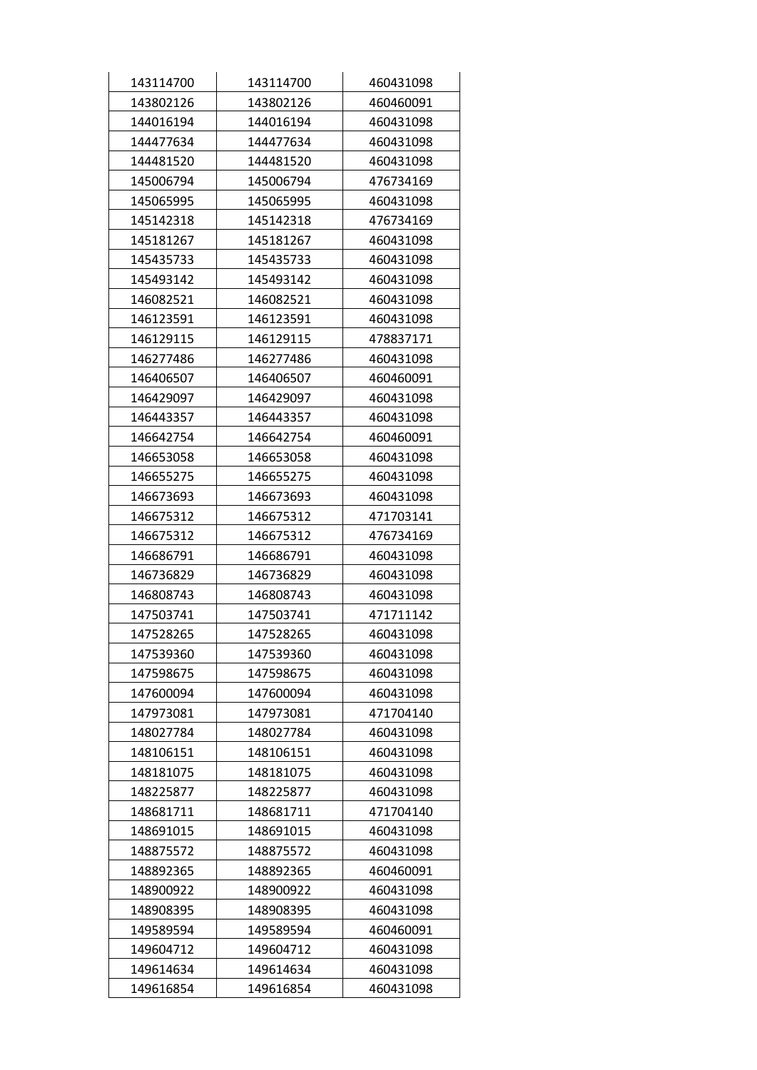| 143114700 | 143114700 | 460431098 |
|-----------|-----------|-----------|
| 143802126 | 143802126 | 460460091 |
| 144016194 | 144016194 | 460431098 |
| 144477634 | 144477634 | 460431098 |
| 144481520 | 144481520 | 460431098 |
| 145006794 | 145006794 | 476734169 |
| 145065995 | 145065995 | 460431098 |
| 145142318 | 145142318 | 476734169 |
| 145181267 | 145181267 | 460431098 |
| 145435733 | 145435733 | 460431098 |
| 145493142 | 145493142 | 460431098 |
| 146082521 | 146082521 | 460431098 |
| 146123591 | 146123591 | 460431098 |
| 146129115 | 146129115 | 478837171 |
| 146277486 | 146277486 | 460431098 |
| 146406507 | 146406507 | 460460091 |
| 146429097 | 146429097 | 460431098 |
| 146443357 | 146443357 | 460431098 |
| 146642754 | 146642754 | 460460091 |
| 146653058 | 146653058 | 460431098 |
| 146655275 | 146655275 | 460431098 |
| 146673693 | 146673693 | 460431098 |
| 146675312 | 146675312 | 471703141 |
| 146675312 | 146675312 | 476734169 |
| 146686791 | 146686791 | 460431098 |
| 146736829 | 146736829 | 460431098 |
| 146808743 | 146808743 | 460431098 |
| 147503741 | 147503741 | 471711142 |
| 147528265 | 147528265 | 460431098 |
| 147539360 | 147539360 | 460431098 |
| 147598675 | 147598675 | 460431098 |
| 147600094 | 147600094 | 460431098 |
| 147973081 | 147973081 | 471704140 |
| 148027784 | 148027784 | 460431098 |
| 148106151 | 148106151 | 460431098 |
| 148181075 | 148181075 | 460431098 |
| 148225877 | 148225877 | 460431098 |
| 148681711 | 148681711 | 471704140 |
| 148691015 | 148691015 | 460431098 |
| 148875572 | 148875572 | 460431098 |
| 148892365 | 148892365 | 460460091 |
| 148900922 | 148900922 | 460431098 |
| 148908395 | 148908395 | 460431098 |
| 149589594 | 149589594 | 460460091 |
| 149604712 | 149604712 | 460431098 |
| 149614634 | 149614634 | 460431098 |
| 149616854 | 149616854 | 460431098 |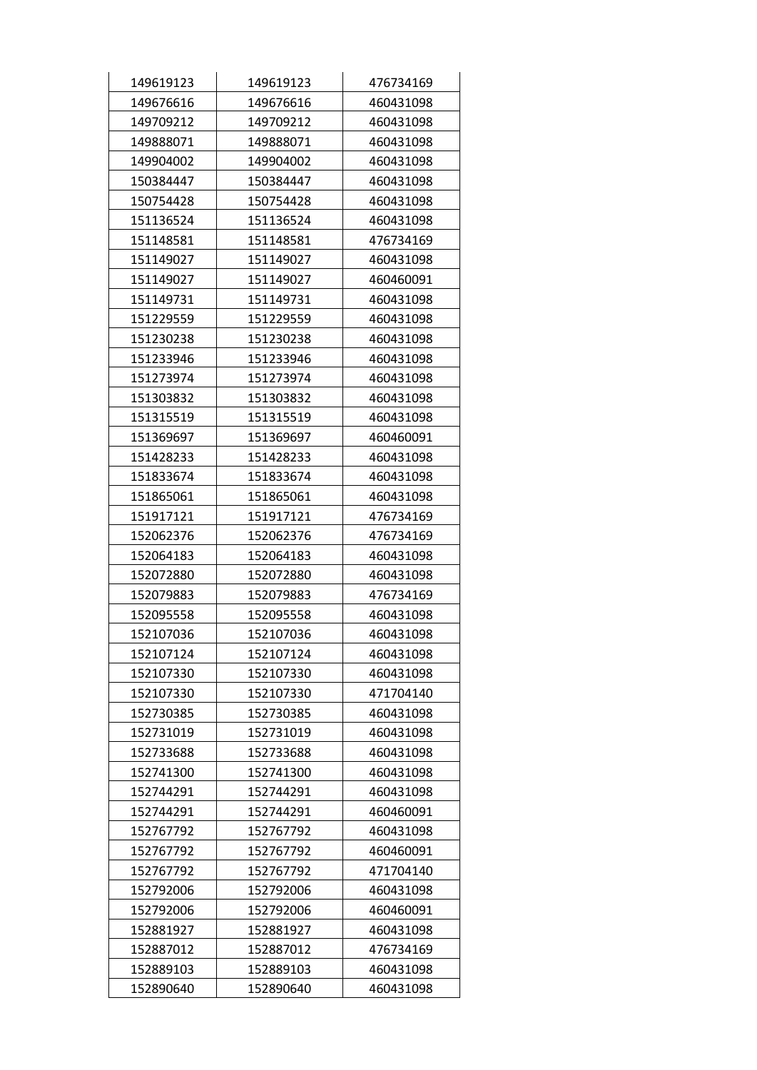| 149619123 | 149619123 | 476734169 |
|-----------|-----------|-----------|
| 149676616 | 149676616 | 460431098 |
| 149709212 | 149709212 | 460431098 |
| 149888071 | 149888071 | 460431098 |
| 149904002 | 149904002 | 460431098 |
| 150384447 | 150384447 | 460431098 |
| 150754428 | 150754428 | 460431098 |
| 151136524 | 151136524 | 460431098 |
| 151148581 | 151148581 | 476734169 |
| 151149027 | 151149027 | 460431098 |
| 151149027 | 151149027 | 460460091 |
| 151149731 | 151149731 | 460431098 |
| 151229559 | 151229559 | 460431098 |
| 151230238 | 151230238 | 460431098 |
| 151233946 | 151233946 | 460431098 |
| 151273974 | 151273974 | 460431098 |
| 151303832 | 151303832 | 460431098 |
| 151315519 | 151315519 | 460431098 |
| 151369697 | 151369697 | 460460091 |
| 151428233 | 151428233 | 460431098 |
| 151833674 | 151833674 | 460431098 |
| 151865061 | 151865061 | 460431098 |
| 151917121 | 151917121 | 476734169 |
| 152062376 | 152062376 | 476734169 |
| 152064183 | 152064183 | 460431098 |
| 152072880 | 152072880 | 460431098 |
| 152079883 | 152079883 | 476734169 |
| 152095558 | 152095558 | 460431098 |
| 152107036 | 152107036 | 460431098 |
| 152107124 | 152107124 | 460431098 |
| 152107330 | 152107330 | 460431098 |
| 152107330 | 152107330 | 471704140 |
| 152730385 | 152730385 | 460431098 |
| 152731019 | 152731019 | 460431098 |
| 152733688 | 152733688 | 460431098 |
| 152741300 | 152741300 | 460431098 |
| 152744291 | 152744291 | 460431098 |
| 152744291 | 152744291 | 460460091 |
| 152767792 | 152767792 | 460431098 |
| 152767792 | 152767792 | 460460091 |
| 152767792 | 152767792 | 471704140 |
| 152792006 | 152792006 | 460431098 |
| 152792006 | 152792006 | 460460091 |
| 152881927 | 152881927 | 460431098 |
| 152887012 | 152887012 | 476734169 |
| 152889103 | 152889103 | 460431098 |
| 152890640 | 152890640 | 460431098 |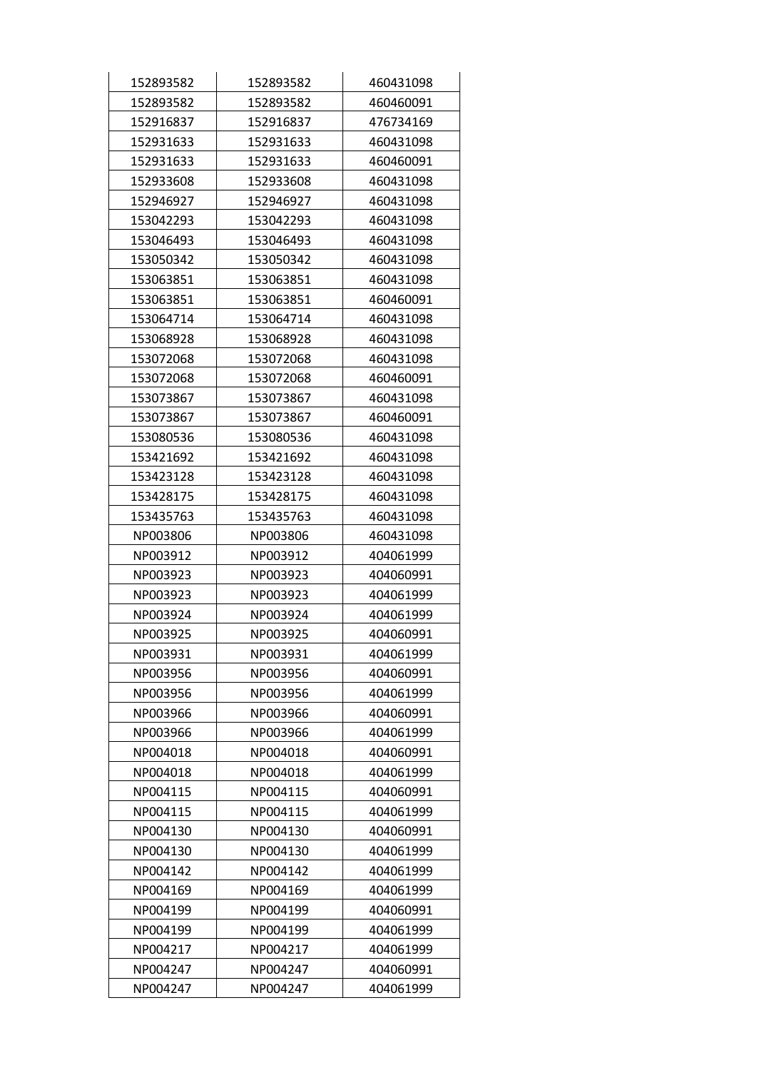| 152893582 | 152893582 | 460431098 |
|-----------|-----------|-----------|
| 152893582 | 152893582 | 460460091 |
| 152916837 | 152916837 | 476734169 |
| 152931633 | 152931633 | 460431098 |
| 152931633 | 152931633 | 460460091 |
| 152933608 | 152933608 | 460431098 |
| 152946927 | 152946927 | 460431098 |
| 153042293 | 153042293 | 460431098 |
| 153046493 | 153046493 | 460431098 |
| 153050342 | 153050342 | 460431098 |
| 153063851 | 153063851 | 460431098 |
| 153063851 | 153063851 | 460460091 |
| 153064714 | 153064714 | 460431098 |
| 153068928 | 153068928 | 460431098 |
| 153072068 | 153072068 | 460431098 |
| 153072068 | 153072068 | 460460091 |
| 153073867 | 153073867 | 460431098 |
| 153073867 | 153073867 | 460460091 |
| 153080536 | 153080536 | 460431098 |
| 153421692 | 153421692 | 460431098 |
| 153423128 | 153423128 | 460431098 |
| 153428175 | 153428175 | 460431098 |
| 153435763 | 153435763 | 460431098 |
| NP003806  | NP003806  | 460431098 |
| NP003912  | NP003912  | 404061999 |
| NP003923  | NP003923  | 404060991 |
| NP003923  | NP003923  | 404061999 |
| NP003924  | NP003924  | 404061999 |
| NP003925  | NP003925  | 404060991 |
| NP003931  | NP003931  | 404061999 |
| NP003956  | NP003956  | 404060991 |
| NP003956  | NP003956  | 404061999 |
| NP003966  | NP003966  | 404060991 |
| NP003966  | NP003966  | 404061999 |
| NP004018  | NP004018  | 404060991 |
| NP004018  | NP004018  | 404061999 |
| NP004115  | NP004115  | 404060991 |
| NP004115  | NP004115  | 404061999 |
| NP004130  | NP004130  | 404060991 |
| NP004130  | NP004130  | 404061999 |
| NP004142  | NP004142  | 404061999 |
| NP004169  | NP004169  | 404061999 |
| NP004199  | NP004199  | 404060991 |
| NP004199  | NP004199  | 404061999 |
| NP004217  | NP004217  | 404061999 |
| NP004247  | NP004247  | 404060991 |
| NP004247  | NP004247  | 404061999 |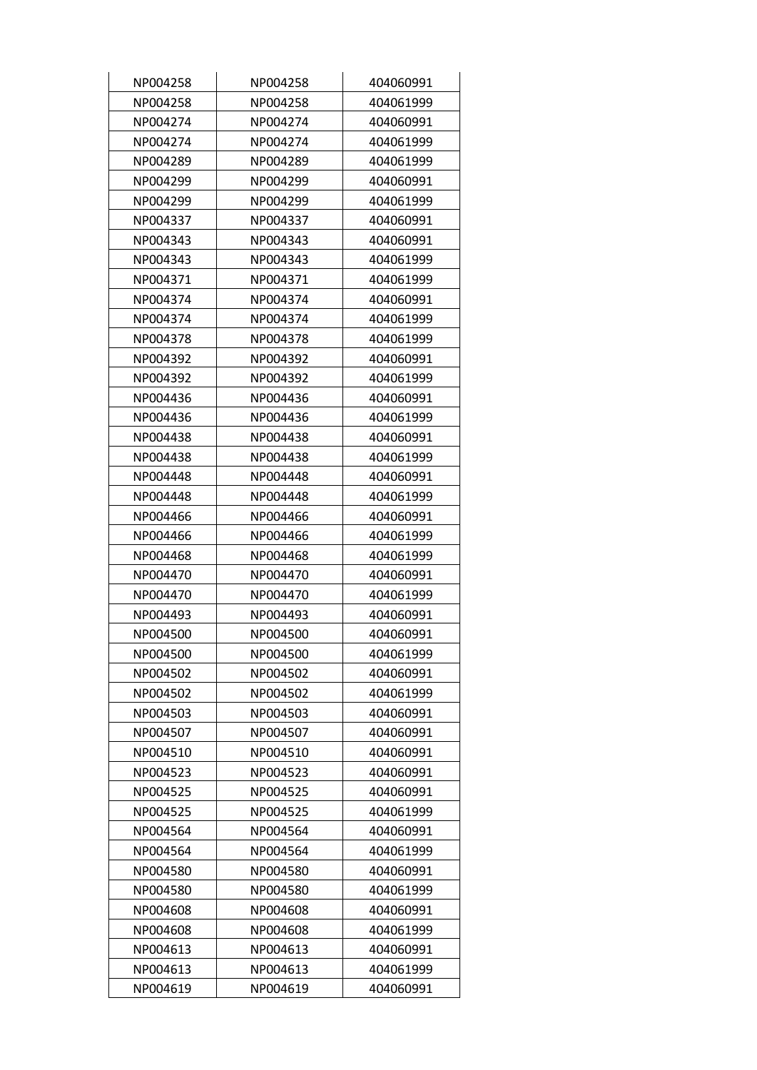| NP004258 | NP004258 | 404060991 |
|----------|----------|-----------|
| NP004258 | NP004258 | 404061999 |
| NP004274 | NP004274 | 404060991 |
| NP004274 | NP004274 | 404061999 |
| NP004289 | NP004289 | 404061999 |
| NP004299 | NP004299 | 404060991 |
| NP004299 | NP004299 | 404061999 |
| NP004337 | NP004337 | 404060991 |
| NP004343 | NP004343 | 404060991 |
| NP004343 | NP004343 | 404061999 |
| NP004371 | NP004371 | 404061999 |
| NP004374 | NP004374 | 404060991 |
| NP004374 | NP004374 | 404061999 |
| NP004378 | NP004378 | 404061999 |
| NP004392 | NP004392 | 404060991 |
| NP004392 | NP004392 | 404061999 |
| NP004436 | NP004436 | 404060991 |
| NP004436 | NP004436 | 404061999 |
| NP004438 | NP004438 | 404060991 |
| NP004438 | NP004438 | 404061999 |
| NP004448 | NP004448 | 404060991 |
| NP004448 | NP004448 | 404061999 |
| NP004466 | NP004466 | 404060991 |
| NP004466 | NP004466 | 404061999 |
| NP004468 | NP004468 | 404061999 |
| NP004470 | NP004470 | 404060991 |
| NP004470 | NP004470 | 404061999 |
| NP004493 | NP004493 | 404060991 |
| NP004500 | NP004500 | 404060991 |
| NP004500 | NP004500 | 404061999 |
| NP004502 | NP004502 | 404060991 |
| NP004502 | NP004502 | 404061999 |
| NP004503 | NP004503 | 404060991 |
| NP004507 | NP004507 | 404060991 |
| NP004510 | NP004510 | 404060991 |
| NP004523 | NP004523 | 404060991 |
| NP004525 | NP004525 | 404060991 |
| NP004525 | NP004525 | 404061999 |
| NP004564 | NP004564 | 404060991 |
| NP004564 | NP004564 | 404061999 |
| NP004580 | NP004580 | 404060991 |
| NP004580 | NP004580 | 404061999 |
| NP004608 | NP004608 | 404060991 |
| NP004608 | NP004608 | 404061999 |
| NP004613 | NP004613 | 404060991 |
| NP004613 | NP004613 | 404061999 |
| NP004619 | NP004619 | 404060991 |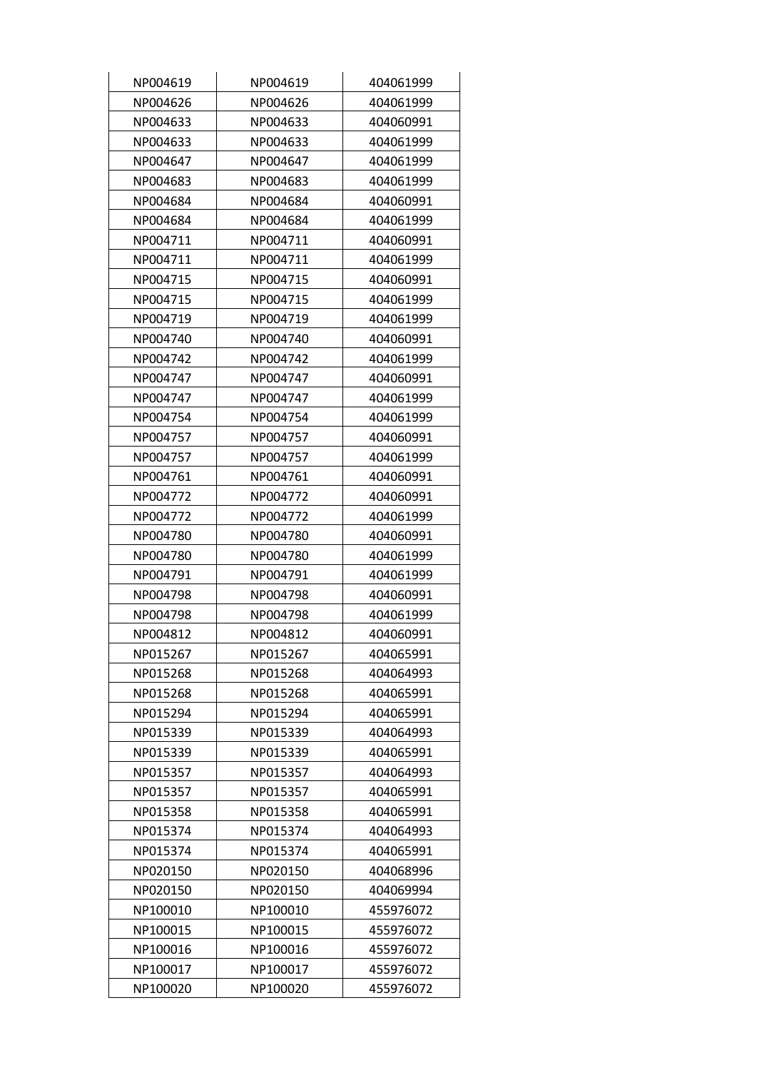| NP004619 | NP004619 | 404061999 |
|----------|----------|-----------|
| NP004626 | NP004626 | 404061999 |
| NP004633 | NP004633 | 404060991 |
| NP004633 | NP004633 | 404061999 |
| NP004647 | NP004647 | 404061999 |
| NP004683 | NP004683 | 404061999 |
| NP004684 | NP004684 | 404060991 |
| NP004684 | NP004684 | 404061999 |
| NP004711 | NP004711 | 404060991 |
| NP004711 | NP004711 | 404061999 |
| NP004715 | NP004715 | 404060991 |
| NP004715 | NP004715 | 404061999 |
| NP004719 | NP004719 | 404061999 |
| NP004740 | NP004740 | 404060991 |
| NP004742 | NP004742 | 404061999 |
| NP004747 | NP004747 | 404060991 |
| NP004747 | NP004747 | 404061999 |
| NP004754 | NP004754 | 404061999 |
| NP004757 | NP004757 | 404060991 |
| NP004757 | NP004757 | 404061999 |
| NP004761 | NP004761 | 404060991 |
| NP004772 | NP004772 | 404060991 |
| NP004772 | NP004772 | 404061999 |
| NP004780 | NP004780 | 404060991 |
| NP004780 | NP004780 | 404061999 |
| NP004791 | NP004791 | 404061999 |
| NP004798 | NP004798 | 404060991 |
| NP004798 | NP004798 | 404061999 |
| NP004812 | NP004812 | 404060991 |
| NP015267 | NP015267 | 404065991 |
| NP015268 | NP015268 | 404064993 |
| NP015268 | NP015268 | 404065991 |
| NP015294 | NP015294 | 404065991 |
| NP015339 | NP015339 | 404064993 |
| NP015339 | NP015339 | 404065991 |
| NP015357 | NP015357 | 404064993 |
| NP015357 | NP015357 | 404065991 |
| NP015358 | NP015358 | 404065991 |
| NP015374 | NP015374 | 404064993 |
| NP015374 | NP015374 | 404065991 |
| NP020150 | NP020150 | 404068996 |
| NP020150 | NP020150 | 404069994 |
| NP100010 | NP100010 | 455976072 |
| NP100015 | NP100015 | 455976072 |
| NP100016 | NP100016 | 455976072 |
| NP100017 | NP100017 | 455976072 |
| NP100020 | NP100020 | 455976072 |